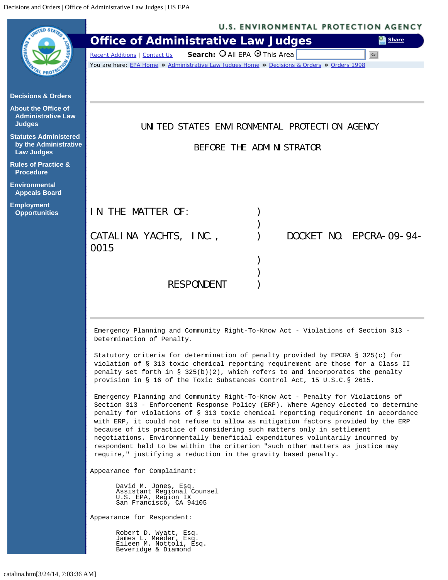<span id="page-0-0"></span>

|                                                                            | <b>U.S. ENVIRONMENTAL PROTECTION AGENCY</b>                                                                                                                                                                                                                                                                                                                                                                                                                                                                                                                                                                                                                                                                                                                                                                                                                                                                                                                                                         |  |  |  |
|----------------------------------------------------------------------------|-----------------------------------------------------------------------------------------------------------------------------------------------------------------------------------------------------------------------------------------------------------------------------------------------------------------------------------------------------------------------------------------------------------------------------------------------------------------------------------------------------------------------------------------------------------------------------------------------------------------------------------------------------------------------------------------------------------------------------------------------------------------------------------------------------------------------------------------------------------------------------------------------------------------------------------------------------------------------------------------------------|--|--|--|
|                                                                            | <b>Office of Administrative Law Judges</b><br><b>Ex Share</b>                                                                                                                                                                                                                                                                                                                                                                                                                                                                                                                                                                                                                                                                                                                                                                                                                                                                                                                                       |  |  |  |
|                                                                            | Search: O All EPA O This Area<br>Go<br><b>Recent Additions   Contact Us</b>                                                                                                                                                                                                                                                                                                                                                                                                                                                                                                                                                                                                                                                                                                                                                                                                                                                                                                                         |  |  |  |
|                                                                            | You are here: EPA Home » Administrative Law Judges Home » Decisions & Orders » Orders 1998                                                                                                                                                                                                                                                                                                                                                                                                                                                                                                                                                                                                                                                                                                                                                                                                                                                                                                          |  |  |  |
|                                                                            |                                                                                                                                                                                                                                                                                                                                                                                                                                                                                                                                                                                                                                                                                                                                                                                                                                                                                                                                                                                                     |  |  |  |
| <b>Decisions &amp; Orders</b>                                              |                                                                                                                                                                                                                                                                                                                                                                                                                                                                                                                                                                                                                                                                                                                                                                                                                                                                                                                                                                                                     |  |  |  |
| <b>About the Office of</b><br><b>Administrative Law</b><br><b>Judges</b>   | UNITED STATES ENVIRONMENTAL PROTECTION AGENCY                                                                                                                                                                                                                                                                                                                                                                                                                                                                                                                                                                                                                                                                                                                                                                                                                                                                                                                                                       |  |  |  |
| <b>Statutes Administered</b><br>by the Administrative<br><b>Law Judges</b> | BEFORE THE ADMINISTRATOR                                                                                                                                                                                                                                                                                                                                                                                                                                                                                                                                                                                                                                                                                                                                                                                                                                                                                                                                                                            |  |  |  |
| <b>Rules of Practice &amp;</b><br><b>Procedure</b>                         |                                                                                                                                                                                                                                                                                                                                                                                                                                                                                                                                                                                                                                                                                                                                                                                                                                                                                                                                                                                                     |  |  |  |
| <b>Environmental</b><br><b>Appeals Board</b>                               |                                                                                                                                                                                                                                                                                                                                                                                                                                                                                                                                                                                                                                                                                                                                                                                                                                                                                                                                                                                                     |  |  |  |
| <b>Employment</b><br><b>Opportunities</b>                                  | IN THE MATTER OF:                                                                                                                                                                                                                                                                                                                                                                                                                                                                                                                                                                                                                                                                                                                                                                                                                                                                                                                                                                                   |  |  |  |
|                                                                            |                                                                                                                                                                                                                                                                                                                                                                                                                                                                                                                                                                                                                                                                                                                                                                                                                                                                                                                                                                                                     |  |  |  |
|                                                                            | DOCKET NO. EPCRA-09-94-<br>CATALINA YACHTS, INC.,                                                                                                                                                                                                                                                                                                                                                                                                                                                                                                                                                                                                                                                                                                                                                                                                                                                                                                                                                   |  |  |  |
|                                                                            | 0015                                                                                                                                                                                                                                                                                                                                                                                                                                                                                                                                                                                                                                                                                                                                                                                                                                                                                                                                                                                                |  |  |  |
|                                                                            |                                                                                                                                                                                                                                                                                                                                                                                                                                                                                                                                                                                                                                                                                                                                                                                                                                                                                                                                                                                                     |  |  |  |
|                                                                            | <b>RESPONDENT</b>                                                                                                                                                                                                                                                                                                                                                                                                                                                                                                                                                                                                                                                                                                                                                                                                                                                                                                                                                                                   |  |  |  |
|                                                                            |                                                                                                                                                                                                                                                                                                                                                                                                                                                                                                                                                                                                                                                                                                                                                                                                                                                                                                                                                                                                     |  |  |  |
|                                                                            |                                                                                                                                                                                                                                                                                                                                                                                                                                                                                                                                                                                                                                                                                                                                                                                                                                                                                                                                                                                                     |  |  |  |
|                                                                            | Emergency Planning and Community Right-To-Know Act - Violations of Section 313 -<br>Determination of Penalty.                                                                                                                                                                                                                                                                                                                                                                                                                                                                                                                                                                                                                                                                                                                                                                                                                                                                                       |  |  |  |
|                                                                            | Statutory criteria for determination of penalty provided by EPCRA § 325(c) for<br>violation of § 313 toxic chemical reporting requirement are those for a Class II<br>penalty set forth in $\S$ 325(b)(2), which refers to and incorporates the penalty<br>provision in § 16 of the Toxic Substances Control Act, 15 U.S.C. § 2615.<br>Emergency Planning and Community Right-To-Know Act - Penalty for Violations of<br>Section 313 - Enforcement Response Policy (ERP). Where Agency elected to determine<br>penalty for violations of § 313 toxic chemical reporting requirement in accordance<br>with ERP, it could not refuse to allow as mitigation factors provided by the ERP<br>because of its practice of considering such matters only in settlement<br>negotiations. Environmentally beneficial expenditures voluntarily incurred by<br>respondent held to be within the criterion "such other matters as justice may<br>require," justifying a reduction in the gravity based penalty. |  |  |  |
|                                                                            |                                                                                                                                                                                                                                                                                                                                                                                                                                                                                                                                                                                                                                                                                                                                                                                                                                                                                                                                                                                                     |  |  |  |
|                                                                            | Appearance for Complainant:                                                                                                                                                                                                                                                                                                                                                                                                                                                                                                                                                                                                                                                                                                                                                                                                                                                                                                                                                                         |  |  |  |
|                                                                            | David M. Jones, Esq.<br>Assistant Regional Counsel<br>U.S. EPA, Region IX<br>San Francisco, CA 94105                                                                                                                                                                                                                                                                                                                                                                                                                                                                                                                                                                                                                                                                                                                                                                                                                                                                                                |  |  |  |
|                                                                            | Appearance for Respondent:                                                                                                                                                                                                                                                                                                                                                                                                                                                                                                                                                                                                                                                                                                                                                                                                                                                                                                                                                                          |  |  |  |
|                                                                            | Robert D. Wyatt, Esq.<br>James L. Meeder, Esq.<br>Eileen M. Nottoli, Esq.<br>Beveridge & Diamond                                                                                                                                                                                                                                                                                                                                                                                                                                                                                                                                                                                                                                                                                                                                                                                                                                                                                                    |  |  |  |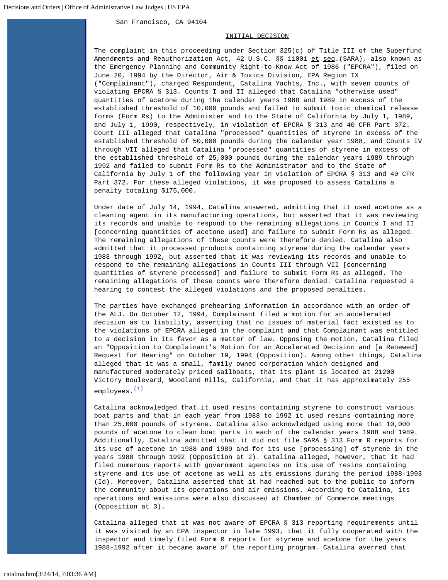# San Francisco, CA 94104

### INITIAL DECISION

The complaint in this proceeding under Section 325(c) of Title III of the Superfund Amendments and Reauthorization Act, 42 U.S.C. §§ 11001 et seq. (SARA), also known as the Emergency Planning and Community Right-to-Know Act of 1986 ("EPCRA"), filed on June 20, 1994 by the Director, Air & Toxics Division, EPA Region IX ("Complainant"), charged Respondent, Catalina Yachts, Inc., with seven counts of violating EPCRA § 313. Counts I and II alleged that Catalina "otherwise used" quantities of acetone during the calendar years 1988 and 1989 in excess of the established threshold of 10,000 pounds and failed to submit toxic chemical release forms (Form Rs) to the Administer and to the State of California by July 1, 1989, and July 1, 1990, respectively, in violation of EPCRA § 313 and 40 CFR Part 372. Count III alleged that Catalina "processed" quantities of styrene in excess of the established threshold of 50,000 pounds during the calendar year 1988, and Counts IV through VII alleged that Catalina "processed" quantities of styrene in excess of the established threshold of 25,000 pounds during the calendar years 1989 through 1992 and failed to submit Form Rs to the Administrator and to the State of California by July 1 of the following year in violation of EPCRA § 313 and 40 CFR Part 372. For these alleged violations, it was proposed to assess Catalina a penalty totaling \$175,000.

Under date of July 14, 1994, Catalina answered, admitting that it used acetone as a cleaning agent in its manufacturing operations, but asserted that it was reviewing its records and unable to respond to the remaining allegations in Counts I and II [concerning quantities of acetone used] and failure to submit Form Rs as alleged. The remaining allegations of these counts were therefore denied. Catalina also admitted that it processed products containing styrene during the calendar years 1988 through 1992, but asserted that it was reviewing its records and unable to respond to the remaining allegations in Counts III through VII [concerning quantities of styrene processed] and failure to submit Form Rs as alleged. The remaining allegations of these counts were therefore denied. Catalina requested a hearing to contest the alleged violations and the proposed penalties.

The parties have exchanged prehearing information in accordance with an order of the ALJ. On October 12, 1994, Complainant filed a motion for an accelerated decision as to liability, asserting that no issues of material fact existed as to the violations of EPCRA alleged in the complaint and that Complainant was entitled to a decision in its favor as a matter of law. Opposing the motion, Catalina filed an "Opposition to Complainant's Motion for an Accelerated Decision and [a Renewed] Request for Hearing" on October 19, 1994 (Opposition). Among other things, Catalina alleged that it was a small, family owned corporation which designed and manufactured moderately priced sailboats, that its plant is located at 21200 Victory Boulevard, Woodland Hills, California, and that it has approximately 255 employees. [\(1\)](#page-13-0)

Catalina acknowledged that it used resins containing styrene to construct various boat parts and that in each year from 1988 to 1992 it used resins containing more than 25,000 pounds of styrene. Catalina also acknowledged using more that 10,000 pounds of acetone to clean boat parts in each of the calendar years 1988 and 1989. Additionally, Catalina admitted that it did not file SARA § 313 Form R reports for its use of acetone in 1988 and 1989 and for its use [processing] of styrene in the years 1988 through 1992 (Opposition at 2). Catalina alleged, however, that it had filed numerous reports with government agencies on its use of resins containing styrene and its use of acetone as well as its emissions during the period 1988-1993 (Id). Moreover, Catalina asserted that it had reached out to the public to inform the community about its operations and air emissions. According to Catalina, its operations and emissions were also discussed at Chamber of Commerce meetings (Opposition at 3).

Catalina alleged that it was not aware of EPCRA § 313 reporting requirements until it was visited by an EPA inspector in late 1993, that it fully cooperated with the inspector and timely filed Form R reports for styrene and acetone for the years 1988-1992 after it became aware of the reporting program. Catalina averred that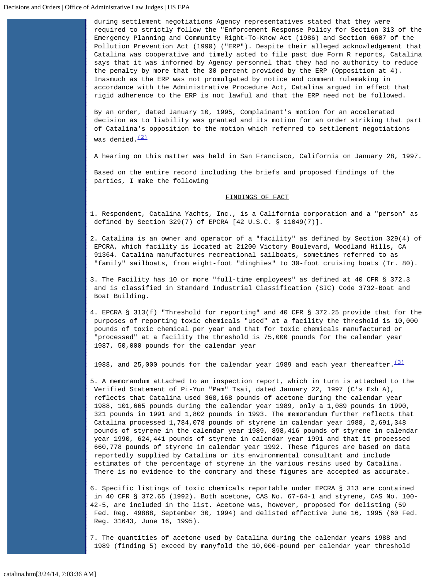during settlement negotiations Agency representatives stated that they were required to strictly follow the "Enforcement Response Policy for Section 313 of the Emergency Planning and Community Right-To-Know Act (1986) and Section 6607 of the Pollution Prevention Act (1990) ("ERP"). Despite their alleged acknowledgement that Catalina was cooperative and timely acted to file past due Form R reports, Catalina says that it was informed by Agency personnel that they had no authority to reduce the penalty by more that the 30 percent provided by the ERP (Opposition at 4). Inasmuch as the ERP was not promulgated by notice and comment rulemaking in accordance with the Administrative Procedure Act, Catalina argued in effect that rigid adherence to the ERP is not lawful and that the ERP need not be followed.

By an order, dated January 10, 1995, Complainant's motion for an accelerated decision as to liability was granted and its motion for an order striking that part of Catalina's opposition to the motion which referred to settlement negotiations was denied. $(2)$ 

A hearing on this matter was held in San Francisco, California on January 28, 1997.

Based on the entire record including the briefs and proposed findings of the parties, I make the following

### FINDINGS OF FACT

- 1. Respondent, Catalina Yachts, Inc., is a California corporation and a "person" as defined by Section 329(7) of EPCRA [42 U.S.C. § 11049(7)].
- 2. Catalina is an owner and operator of a "facility" as defined by Section 329(4) of EPCRA, which facility is located at 21200 Victory Boulevard, Woodland Hills, CA 91364. Catalina manufactures recreational sailboats, sometimes referred to as "family" sailboats, from eight-foot "dinghies" to 30-foot cruising boats (Tr. 80).
- 3. The Facility has 10 or more "full-time employees" as defined at 40 CFR § 372.3 and is classified in Standard Industrial Classification (SIC) Code 3732-Boat and Boat Building.
- 4. EPCRA § 313(f) "Threshold for reporting" and 40 CFR § 372.25 provide that for the purposes of reporting toxic chemicals "used" at a facility the threshold is 10,000 pounds of toxic chemical per year and that for toxic chemicals manufactured or "processed" at a facility the threshold is 75,000 pounds for the calendar year 1987, 50,000 pounds for the calendar year

1988, and 25,000 pounds for the calendar year 1989 and each year thereafter.  $(3)$ 

5. A memorandum attached to an inspection report, which in turn is attached to the Verified Statement of Pi-Yun "Pam" Tsai, dated January 22, 1997 (C's Exh A), reflects that Catalina used 368,168 pounds of acetone during the calendar year 1988, 101,665 pounds during the calendar year 1989, only a 1,089 pounds in 1990, 321 pounds in 1991 and 1,802 pounds in 1993. The memorandum further reflects that Catalina processed 1,784,078 pounds of styrene in calendar year 1988, 2,691,348 pounds of styrene in the calendar year 1989, 898,416 pounds of styrene in calendar year 1990, 624,441 pounds of styrene in calendar year 1991 and that it processed 660,778 pounds of styrene in calendar year 1992. These figures are based on data reportedly supplied by Catalina or its environmental consultant and include estimates of the percentage of styrene in the various resins used by Catalina. There is no evidence to the contrary and these figures are accepted as accurate.

6. Specific listings of toxic chemicals reportable under EPCRA § 313 are contained in 40 CFR § 372.65 (1992). Both acetone, CAS No. 67-64-1 and styrene, CAS No. 100- 42-5, are included in the list. Acetone was, however, proposed for delisting (59 Fed. Reg. 49888, September 30, 1994) and delisted effective June 16, 1995 (60 Fed. Reg. 31643, June 16, 1995).

7. The quantities of acetone used by Catalina during the calendar years 1988 and 1989 (finding 5) exceed by manyfold the 10,000-pound per calendar year threshold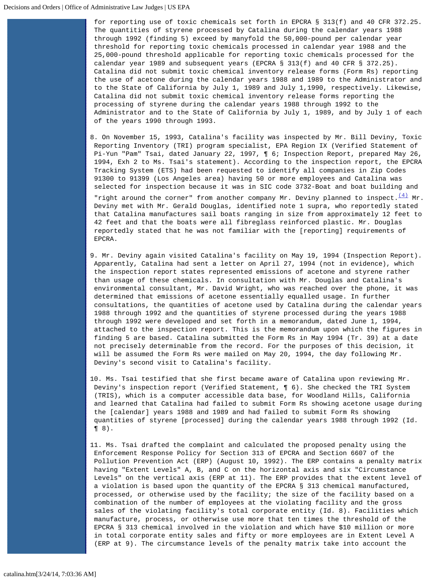for reporting use of toxic chemicals set forth in EPCRA § 313(f) and 40 CFR 372.25. The quantities of styrene processed by Catalina during the calendar years 1988 through 1992 (finding 5) exceed by manyfold the 50,000-pound per calendar year threshold for reporting toxic chemicals processed in calendar year 1988 and the 25,000-pound threshold applicable for reporting toxic chemicals processed for the calendar year 1989 and subsequent years (EPCRA § 313(f) and 40 CFR § 372.25). Catalina did not submit toxic chemical inventory release forms (Form Rs) reporting the use of acetone during the calendar years 1988 and 1989 to the Administrator and to the State of California by July 1, 1989 and July 1,1990, respectively. Likewise, Catalina did not submit toxic chemical inventory release forms reporting the processing of styrene during the calendar years 1988 through 1992 to the Administrator and to the State of California by July 1, 1989, and by July 1 of each of the years 1990 through 1993.

8. On November 15, 1993, Catalina's facility was inspected by Mr. Bill Deviny, Toxic Reporting Inventory (TRI) program specialist, EPA Region IX (Verified Statement of Pi-Yun "Pam" Tsai, dated January 22, 1997, ¶ 6; Inspection Report, prepared May 26, 1994, Exh 2 to Ms. Tsai's statement). According to the inspection report, the EPCRA Tracking System (ETS) had been requested to identify all companies in Zip Codes 91300 to 91399 (Los Angeles area) having 50 or more employees and Catalina was selected for inspection because it was in SIC code 3732-Boat and boat building and

"right around the corner" from another company Mr. Deviny planned to inspect. $\frac{(4)}{M}$  $\frac{(4)}{M}$  $\frac{(4)}{M}$  Mr. Deviny met with Mr. Gerald Douglas, identified note 1 supra, who reportedly stated that Catalina manufactures sail boats ranging in size from approximately 12 feet to 42 feet and that the boats were all fibreglass reinforced plastic. Mr. Douglas reportedly stated that he was not familiar with the [reporting] requirements of EPCRA.

- 9. Mr. Deviny again visited Catalina's facility on May 19, 1994 (Inspection Report). Apparently, Catalina had sent a letter on April 27, 1994 (not in evidence), which the inspection report states represented emissions of acetone and styrene rather than usage of these chemicals. In consultation with Mr. Douglas and Catalina's environmental consultant, Mr. David Wright, who was reached over the phone, it was determined that emissions of acetone essentially equalled usage. In further consultations, the quantities of acetone used by Catalina during the calendar years 1988 through 1992 and the quantities of styrene processed during the years 1988 through 1992 were developed and set forth in a memorandum, dated June 1, 1994, attached to the inspection report. This is the memorandum upon which the figures in finding 5 are based. Catalina submitted the Form Rs in May 1994 (Tr. 39) at a date not precisely determinable from the record. For the purposes of this decision, it will be assumed the Form Rs were mailed on May 20, 1994, the day following Mr. Deviny's second visit to Catalina's facility.
- 10. Ms. Tsai testified that she first became aware of Catalina upon reviewing Mr. Deviny's inspection report (Verified Statement, ¶ 6). She checked the TRI System (TRIS), which is a computer accessible data base, for Woodland Hills, California and learned that Catalina had failed to submit Form Rs showing acetone usage during the [calendar] years 1988 and 1989 and had failed to submit Form Rs showing quantities of styrene [processed] during the calendar years 1988 through 1992 (Id. ¶ 8).
- 11. Ms. Tsai drafted the complaint and calculated the proposed penalty using the Enforcement Response Policy for Section 313 of EPCRA and Section 6607 of the Pollution Prevention Act (ERP) (August 10, 1992). The ERP contains a penalty matrix having "Extent Levels" A, B, and C on the horizontal axis and six "Circumstance Levels" on the vertical axis (ERP at 11). The ERP provides that the extent level of a violation is based upon the quantity of the EPCRA § 313 chemical manufactured, processed, or otherwise used by the facility; the size of the facility based on a combination of the number of employees at the violating facility and the gross sales of the violating facility's total corporate entity (Id. 8). Facilities which manufacture, process, or otherwise use more that ten times the threshold of the EPCRA § 313 chemical involved in the violation and which have \$10 million or more in total corporate entity sales and fifty or more employees are in Extent Level A (ERP at 9). The circumstance levels of the penalty matrix take into account the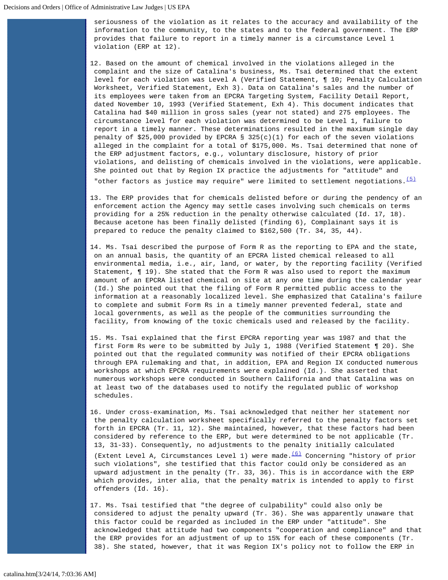seriousness of the violation as it relates to the accuracy and availability of the information to the community, to the states and to the federal government. The ERP provides that failure to report in a timely manner is a circumstance Level 1 violation (ERP at 12).

12. Based on the amount of chemical involved in the violations alleged in the complaint and the size of Catalina's business, Ms. Tsai determined that the extent level for each violation was Level A (Verified Statement, ¶ 10; Penalty Calculation Worksheet, Verified Statement, Exh 3). Data on Catalina's sales and the number of its employees were taken from an EPCRA Targeting System, Facility Detail Report, dated November 10, 1993 (Verified Statement, Exh 4). This document indicates that Catalina had \$40 million in gross sales (year not stated) and 275 employees. The circumstance level for each violation was determined to be Level 1, failure to report in a timely manner. These determinations resulted in the maximum single day penalty of \$25,000 provided by EPCRA § 325(c)(1) for each of the seven violations alleged in the complaint for a total of \$175,000. Ms. Tsai determined that none of the ERP adjustment factors, e.g., voluntary disclosure, history of prior violations, and delisting of chemicals involved in the violations, were applicable. She pointed out that by Region IX practice the adjustments for "attitude" and

"other factors as justice may require" were limited to settlement negotiations.  $\frac{(5)}{2}$  $\frac{(5)}{2}$  $\frac{(5)}{2}$ 

- 13. The ERP provides that for chemicals delisted before or during the pendency of an enforcement action the Agency may settle cases involving such chemicals on terms providing for a 25% reduction in the penalty otherwise calculated (Id. 17, 18). Because acetone has been finally delisted (finding 6), Complainant says it is prepared to reduce the penalty claimed to \$162,500 (Tr. 34, 35, 44).
- 14. Ms. Tsai described the purpose of Form R as the reporting to EPA and the state, on an annual basis, the quantity of an EPCRA listed chemical released to all environmental media, i.e., air, land, or water, by the reporting facility (Verified Statement, ¶ 19). She stated that the Form R was also used to report the maximum amount of an EPCRA listed chemical on site at any one time during the calendar year (Id.) She pointed out that the filing of Form R permitted public access to the information at a reasonably localized level. She emphasized that Catalina's failure to complete and submit Form Rs in a timely manner prevented federal, state and local governments, as well as the people of the communities surrounding the facility, from knowing of the toxic chemicals used and released by the facility.
- 15. Ms. Tsai explained that the first EPCRA reporting year was 1987 and that the first Form Rs were to be submitted by July 1, 1988 (Verified Statement ¶ 20). She pointed out that the regulated community was notified of their EPCRA obligations through EPA rulemaking and that, in addition, EPA and Region IX conducted numerous workshops at which EPCRA requirements were explained (Id.). She asserted that numerous workshops were conducted in Southern California and that Catalina was on at least two of the databases used to notify the regulated public of workshop schedules.
- 16. Under cross-examination, Ms. Tsai acknowledged that neither her statement nor the penalty calculation worksheet specifically referred to the penalty factors set forth in EPCRA (Tr. 11, 12). She maintained, however, that these factors had been considered by reference to the ERP, but were determined to be not applicable (Tr. 13, 31-33). Consequently, no adjustments to the penalty initially calculated

(Extent Level A, Circumstances Level 1) were made. $(6)$  Concerning "history of prior such violations", she testified that this factor could only be considered as an upward adjustment in the penalty (Tr. 33, 36). This is in accordance with the ERP which provides, inter alia, that the penalty matrix is intended to apply to first offenders (Id. 16).

17. Ms. Tsai testified that "the degree of culpability" could also only be considered to adjust the penalty upward (Tr. 36). She was apparently unaware that this factor could be regarded as included in the ERP under "attitude". She acknowledged that attitude had two components "cooperation and compliance" and that the ERP provides for an adjustment of up to 15% for each of these components (Tr. 38). She stated, however, that it was Region IX's policy not to follow the ERP in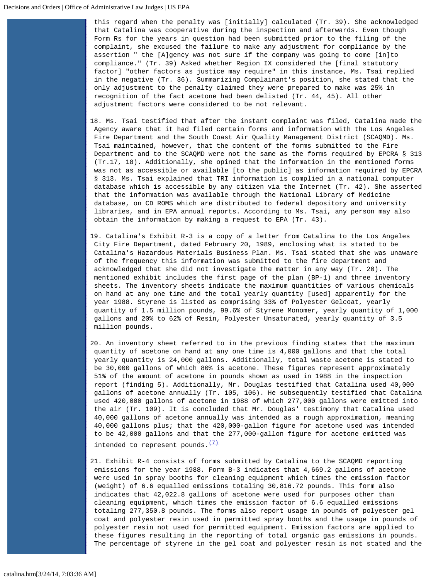this regard when the penalty was [initially] calculated (Tr. 39). She acknowledged that Catalina was cooperative during the inspection and afterwards. Even though Form Rs for the years in question had been submitted prior to the filing of the complaint, she excused the failure to make any adjustment for compliance by the assertion " the [A]gency was not sure if the company was going to come [in]to compliance." (Tr. 39) Asked whether Region IX considered the [final statutory factor] "other factors as justice may require" in this instance, Ms. Tsai replied in the negative (Tr. 36). Summarizing Complainant's position, she stated that the only adjustment to the penalty claimed they were prepared to make was 25% in recognition of the fact acetone had been delisted (Tr. 44, 45). All other adjustment factors were considered to be not relevant.

- 18. Ms. Tsai testified that after the instant complaint was filed, Catalina made the Agency aware that it had filed certain forms and information with the Los Angeles Fire Department and the South Coast Air Quality Management District (SCAQMD). Ms. Tsai maintained, however, that the content of the forms submitted to the Fire Department and to the SCAQMD were not the same as the forms required by EPCRA § 313 (Tr.17, 18). Additionally, she opined that the information in the mentioned forms was not as accessible or available [to the public] as information required by EPCRA § 313. Ms. Tsai explained that TRI information is complied in a national computer database which is accessible by any citizen via the Internet (Tr. 42). She asserted that the information was available through the National Library of Medicine database, on CD ROMS which are distributed to federal depository and university libraries, and in EPA annual reports. According to Ms. Tsai, any person may also obtain the information by making a request to EPA (Tr. 43).
- 19. Catalina's Exhibit R-3 is a copy of a letter from Catalina to the Los Angeles City Fire Department, dated February 20, 1989, enclosing what is stated to be Catalina's Hazardous Materials Business Plan. Ms. Tsai stated that she was unaware of the frequency this information was submitted to the fire department and acknowledged that she did not investigate the matter in any way (Tr. 20). The mentioned exhibit includes the first page of the plan (BP-1) and three inventory sheets. The inventory sheets indicate the maximum quantities of various chemicals on hand at any one time and the total yearly quantity [used] apparently for the year 1988. Styrene is listed as comprising 33% of Polyester Gelcoat, yearly quantity of 1.5 million pounds, 99.6% of Styrene Monomer, yearly quantity of 1,000 gallons and 20% to 62% of Resin, Polyester Unsaturated, yearly quantity of 3.5 million pounds.
- 20. An inventory sheet referred to in the previous finding states that the maximum quantity of acetone on hand at any one time is 4,000 gallons and that the total yearly quantity is 24,000 gallons. Additionally, total waste acetone is stated to be 30,000 gallons of which 80% is acetone. These figures represent approximately 51% of the amount of acetone in pounds shown as used in 1988 in the inspection report (finding 5). Additionally, Mr. Douglas testified that Catalina used 40,000 gallons of acetone annually (Tr. 105, 106). He subsequently testified that Catalina used 420,000 gallons of acetone in 1988 of which 277,000 gallons were emitted into the air (Tr. 109). It is concluded that Mr. Douglas' testimony that Catalina used 40,000 gallons of acetone annually was intended as a rough approximation, meaning 40,000 gallons plus; that the 420,000-gallon figure for acetone used was intended to be 42,000 gallons and that the 277,000-gallon figure for acetone emitted was intended to represent pounds. $\frac{(7)}{2}$  $\frac{(7)}{2}$  $\frac{(7)}{2}$
- 21. Exhibit R-4 consists of forms submitted by Catalina to the SCAQMD reporting emissions for the year 1988. Form B-3 indicates that 4,669.2 gallons of acetone were used in spray booths for cleaning equipment which times the emission factor (weight) of 6.6 equalled emissions totaling 30,816.72 pounds. This form also indicates that 42,022.8 gallons of acetone were used for purposes other than cleaning equipment, which times the emission factor of 6.6 equalled emissions totaling 277,350.8 pounds. The forms also report usage in pounds of polyester gel coat and polyester resin used in permitted spray booths and the usage in pounds of polyester resin not used for permitted equipment. Emission factors are applied to these figures resulting in the reporting of total organic gas emissions in pounds. The percentage of styrene in the gel coat and polyester resin is not stated and the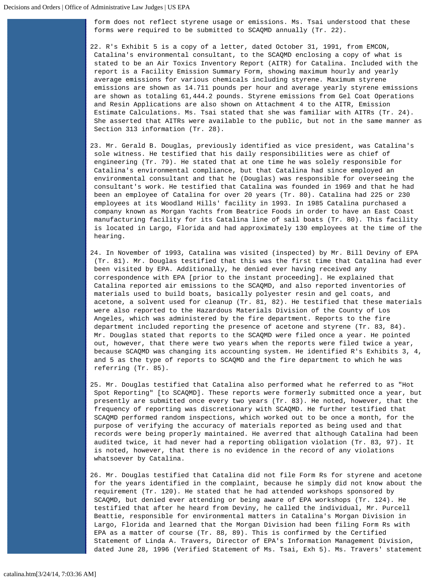form does not reflect styrene usage or emissions. Ms. Tsai understood that these forms were required to be submitted to SCAQMD annually (Tr. 22).

22. R's Exhibit 5 is a copy of a letter, dated October 31, 1991, from EMCON, Catalina's environmental consultant, to the SCAQMD enclosing a copy of what is stated to be an Air Toxics Inventory Report (AITR) for Catalina. Included with the report is a Facility Emission Summary Form, showing maximum hourly and yearly average emissions for various chemicals including styrene. Maximum styrene emissions are shown as 14.711 pounds per hour and average yearly styrene emissions are shown as totaling 61,444.2 pounds. Styrene emissions from Gel Coat Operations and Resin Applications are also shown on Attachment 4 to the AITR, Emission Estimate Calculations. Ms. Tsai stated that she was familiar with AITRs (Tr. 24). She asserted that AITRs were available to the public, but not in the same manner as Section 313 information (Tr. 28).

- 23. Mr. Gerald B. Douglas, previously identified as vice president, was Catalina's sole witness. He testified that his daily responsibilities were as chief of engineering (Tr. 79). He stated that at one time he was solely responsible for Catalina's environmental compliance, but that Catalina had since employed an environmental consultant and that he (Douglas) was responsible for overseeing the consultant's work. He testified that Catalina was founded in 1969 and that he had been an employee of Catalina for over 20 years (Tr. 80). Catalina had 225 or 230 employees at its Woodland Hills' facility in 1993. In 1985 Catalina purchased a company known as Morgan Yachts from Beatrice Foods in order to have an East Coast manufacturing facility for its Catalina line of sail boats (Tr. 80). This facility is located in Largo, Florida and had approximately 130 employees at the time of the hearing.
- 24. In November of 1993, Catalina was visited (inspected) by Mr. Bill Deviny of EPA (Tr. 81). Mr. Douglas testified that this was the first time that Catalina had ever been visited by EPA. Additionally, he denied ever having received any correspondence with EPA [prior to the instant proceeding]. He explained that Catalina reported air emissions to the SCAQMD, and also reported inventories of materials used to build boats, basically polyester resin and gel coats, and acetone, a solvent used for cleanup (Tr. 81, 82). He testified that these materials were also reported to the Hazardous Materials Division of the County of Los Angeles, which was administered by the fire department. Reports to the fire department included reporting the presence of acetone and styrene (Tr. 83, 84). Mr. Douglas stated that reports to the SCAQMD were filed once a year. He pointed out, however, that there were two years when the reports were filed twice a year, because SCAQMD was changing its accounting system. He identified R's Exhibits 3, 4, and 5 as the type of reports to SCAQMD and the fire department to which he was referring (Tr. 85).
- 25. Mr. Douglas testified that Catalina also performed what he referred to as "Hot Spot Reporting" [to SCAQMD]. These reports were formerly submitted once a year, but presently are submitted once every two years (Tr. 83). He noted, however, that the frequency of reporting was discretionary with SCAQMD. He further testified that SCAQMD performed random inspections, which worked out to be once a month, for the purpose of verifying the accuracy of materials reported as being used and that records were being properly maintained. He averred that although Catalina had been audited twice, it had never had a reporting obligation violation (Tr. 83, 97). It is noted, however, that there is no evidence in the record of any violations whatsoever by Catalina.
- 26. Mr. Douglas testified that Catalina did not file Form Rs for styrene and acetone for the years identified in the complaint, because he simply did not know about the requirement (Tr. 120). He stated that he had attended workshops sponsored by SCAQMD, but denied ever attending or being aware of EPA workshops (Tr. 124). He testified that after he heard from Deviny, he called the individual, Mr. Purcell Beattie, responsible for environmental matters in Catalina's Morgan Division in Largo, Florida and learned that the Morgan Division had been filing Form Rs with EPA as a matter of course (Tr. 88, 89). This is confirmed by the Certified Statement of Linda A. Travers, Director of EPA's Information Management Division, dated June 28, 1996 (Verified Statement of Ms. Tsai, Exh 5). Ms. Travers' statement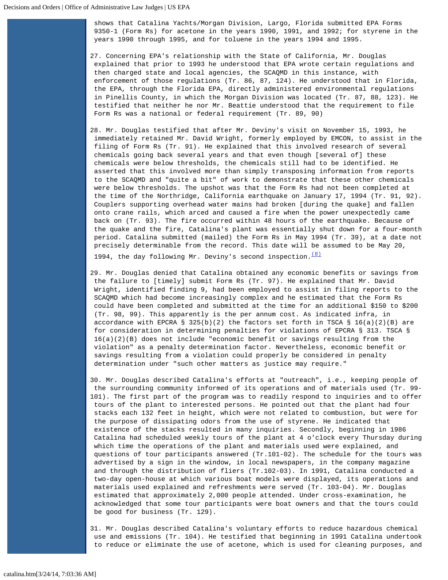shows that Catalina Yachts/Morgan Division, Largo, Florida submitted EPA Forms 9350-1 (Form Rs) for acetone in the years 1990, 1991, and 1992; for styrene in the years 1990 through 1995, and for toluene in the years 1994 and 1995.

- 27. Concerning EPA's relationship with the State of California, Mr. Douglas explained that prior to 1993 he understood that EPA wrote certain regulations and then charged state and local agencies, the SCAQMD in this instance, with enforcement of those regulations (Tr. 86, 87, 124). He understood that in Florida, the EPA, through the Florida EPA, directly administered environmental regulations in Pinellis County, in which the Morgan Division was located (Tr. 87, 88, 123). He testified that neither he nor Mr. Beattie understood that the requirement to file Form Rs was a national or federal requirement (Tr. 89, 90)
- 28. Mr. Douglas testified that after Mr. Deviny's visit on November 15, 1993, he immediately retained Mr. David Wright, formerly employed by EMCON, to assist in the filing of Form Rs (Tr. 91). He explained that this involved research of several chemicals going back several years and that even though [several of] these chemicals were below thresholds, the chemicals still had to be identified. He asserted that this involved more than simply transposing information from reports to the SCAQMD and "quite a bit" of work to demonstrate that these other chemicals were below thresholds. The upshot was that the Form Rs had not been completed at the time of the Northridge, California earthquake on January 17, 1994 (Tr. 91, 92). Couplers supporting overhead water mains had broken [during the quake] and fallen onto crane rails, which arced and caused a fire when the power unexpectedly came back on (Tr. 93). The fire occurred within 48 hours of the earthquake. Because of the quake and the fire, Catalina's plant was essentially shut down for a four-month period. Catalina submitted (mailed) the Form Rs in May 1994 (Tr. 39), at a date not precisely determinable from the record. This date will be assumed to be May 20,

1994, the day following Mr. Deviny's second inspection.  $\frac{(8)}{2}$  $\frac{(8)}{2}$  $\frac{(8)}{2}$ 

- 29. Mr. Douglas denied that Catalina obtained any economic benefits or savings from the failure to [timely] submit Form Rs (Tr. 97). He explained that Mr. David Wright, identified finding 9, had been employed to assist in filing reports to the SCAQMD which had become increasingly complex and he estimated that the Form Rs could have been completed and submitted at the time for an additional \$150 to \$200 (Tr. 98, 99). This apparently is the per annum cost. As indicated infra, in accordance with EPCRA § 325(b)(2) the factors set forth in TSCA § 16(a)(2)(B) are for consideration in determining penalties for violations of EPCRA § 313. TSCA § 16(a)(2)(B) does not include "economic benefit or savings resulting from the violation" as a penalty determination factor. Nevertheless, economic benefit or savings resulting from a violation could properly be considered in penalty determination under "such other matters as justice may require."
- 30. Mr. Douglas described Catalina's efforts at "outreach", i.e., keeping people of the surrounding community informed of its operations and of materials used (Tr. 99- 101). The first part of the program was to readily respond to inquiries and to offer tours of the plant to interested persons. He pointed out that the plant had four stacks each 132 feet in height, which were not related to combustion, but were for the purpose of dissipating odors from the use of styrene. He indicated that existence of the stacks resulted in many inquiries. Secondly, beginning in 1986 Catalina had scheduled weekly tours of the plant at 4 o'clock every Thursday during which time the operations of the plant and materials used were explained, and questions of tour participants answered (Tr.101-02). The schedule for the tours was advertised by a sign in the window, in local newspapers, in the company magazine and through the distribution of fliers (Tr.102-03). In 1991, Catalina conducted a two-day open-house at which various boat models were displayed, its operations and materials used explained and refreshments were served (Tr. 103-04). Mr. Douglas estimated that approximately 2,000 people attended. Under cross-examination, he acknowledged that some tour participants were boat owners and that the tours could be good for business (Tr. 129).

31. Mr. Douglas described Catalina's voluntary efforts to reduce hazardous chemical use and emissions (Tr. 104). He testified that beginning in 1991 Catalina undertook to reduce or eliminate the use of acetone, which is used for cleaning purposes, and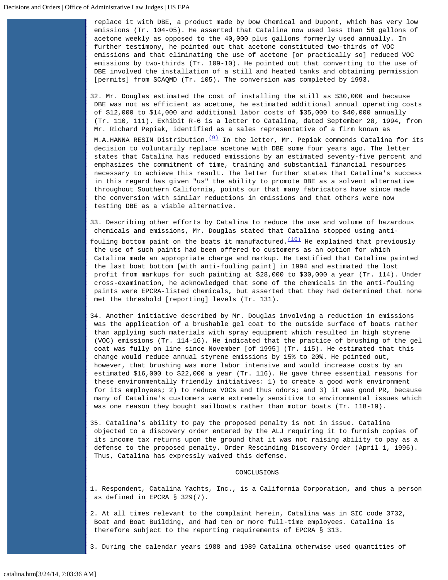replace it with DBE, a product made by Dow Chemical and Dupont, which has very low emissions (Tr. 104-05). He asserted that Catalina now used less than 50 gallons of acetone weekly as opposed to the 40,000 plus gallons formerly used annually. In further testimony, he pointed out that acetone constituted two-thirds of VOC emissions and that eliminating the use of acetone [or practically so] reduced VOC emissions by two-thirds (Tr. 109-10). He pointed out that converting to the use of DBE involved the installation of a still and heated tanks and obtaining permission [permits] from SCAQMD (Tr. 105). The conversion was completed by 1993.

32. Mr. Douglas estimated the cost of installing the still as \$30,000 and because DBE was not as efficient as acetone, he estimated additional annual operating costs of \$12,000 to \$14,000 and additional labor costs of \$35,000 to \$40,000 annually (Tr. 110, 111). Exhibit R-6 is a letter to Catalina, dated September 28, 1994, from Mr. Richard Pepiak, identified as a sales representative of a firm known as

M.A.HANNA RESIN Distribution.<sup>(9)</sup> In the letter, Mr. Pepiak commends Catalina for its decision to voluntarily replace acetone with DBE some four years ago. The letter states that Catalina has reduced emissions by an estimated seventy-five percent and emphasizes the commitment of time, training and substantial financial resources necessary to achieve this result. The letter further states that Catalina's success in this regard has given "us" the ability to promote DBE as a solvent alternative throughout Southern California, points our that many fabricators have since made the conversion with similar reductions in emissions and that others were now testing DBE as a viable alternative.

33. Describing other efforts by Catalina to reduce the use and volume of hazardous chemicals and emissions, Mr. Douglas stated that Catalina stopped using anti-

- fouling bottom paint on the boats it manufactured. $(10)$  He explained that previously the use of such paints had been offered to customers as an option for which Catalina made an appropriate charge and markup. He testified that Catalina painted the last boat bottom [with anti-fouling paint] in 1994 and estimated the lost profit from markups for such painting at \$28,000 to \$30,000 a year (Tr. 114). Under cross-examination, he acknowledged that some of the chemicals in the anti-fouling paints were EPCRA-listed chemicals, but asserted that they had determined that none met the threshold [reporting] levels (Tr. 131).
- 34. Another initiative described by Mr. Douglas involving a reduction in emissions was the application of a brushable gel coat to the outside surface of boats rather than applying such materials with spray equipment which resulted in high styrene (VOC) emissions (Tr. 114-16). He indicated that the practice of brushing of the gel coat was fully on line since November [of 1995] (Tr. 115). He estimated that this change would reduce annual styrene emissions by 15% to 20%. He pointed out, however, that brushing was more labor intensive and would increase costs by an estimated \$16,000 to \$22,000 a year (Tr. 116). He gave three essential reasons for these environmentally friendly initiatives: 1) to create a good work environment for its employees; 2) to reduce VOCs and thus odors; and 3) it was good PR, because many of Catalina's customers were extremely sensitive to environmental issues which was one reason they bought sailboats rather than motor boats (Tr. 118-19).

35. Catalina's ability to pay the proposed penalty is not in issue. Catalina objected to a discovery order entered by the ALJ requiring it to furnish copies of its income tax returns upon the ground that it was not raising ability to pay as a defense to the proposed penalty. Order Rescinding Discovery Order (April 1, 1996). Thus, Catalina has expressly waived this defense.

#### CONCLUSIONS

1. Respondent, Catalina Yachts, Inc., is a California Corporation, and thus a person as defined in EPCRA § 329(7).

2. At all times relevant to the complaint herein, Catalina was in SIC code 3732, Boat and Boat Building, and had ten or more full-time employees. Catalina is therefore subject to the reporting requirements of EPCRA § 313.

3. During the calendar years 1988 and 1989 Catalina otherwise used quantities of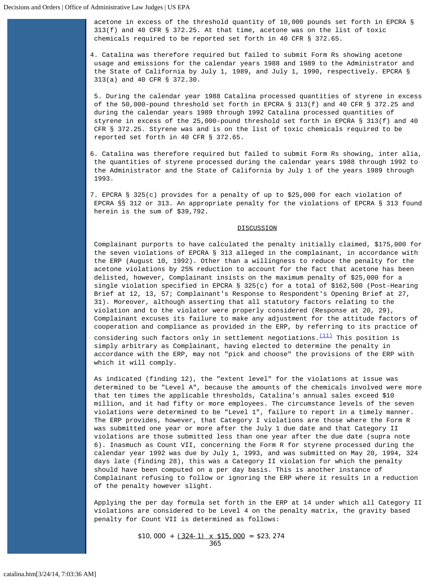acetone in excess of the threshold quantity of 10,000 pounds set forth in EPCRA § 313(f) and 40 CFR § 372.25. At that time, acetone was on the list of toxic chemicals required to be reported set forth in 40 CFR § 372.65.

4. Catalina was therefore required but failed to submit Form Rs showing acetone usage and emissions for the calendar years 1988 and 1989 to the Administrator and the State of California by July 1, 1989, and July 1, 1990, respectively. EPCRA § 313(a) and 40 CFR § 372.30.

 5. During the calendar year 1988 Catalina processed quantities of styrene in excess of the 50,000-pound threshold set forth in EPCRA § 313(f) and 40 CFR § 372.25 and during the calendar years 1989 through 1992 Catalina processed quantities of styrene in excess of the 25,000-pound threshold set forth in EPCRA § 313(f) and 40 CFR § 372.25. Styrene was and is on the list of toxic chemicals required to be reported set forth in 40 CFR § 372.65.

6. Catalina was therefore required but failed to submit Form Rs showing, inter alia, the quantities of styrene processed during the calendar years 1988 through 1992 to the Administrator and the State of California by July 1 of the years 1989 through 1993.

7. EPCRA § 325(c) provides for a penalty of up to \$25,000 for each violation of EPCRA §§ 312 or 313. An appropriate penalty for the violations of EPCRA § 313 found herein is the sum of \$39,792.

## DISCUSSION

Complainant purports to have calculated the penalty initially claimed, \$175,000 for the seven violations of EPCRA § 313 alleged in the complainant, in accordance with the ERP (August 10, 1992). Other than a willingness to reduce the penalty for the acetone violations by 25% reduction to account for the fact that acetone has been delisted, however, Complainant insists on the maximum penalty of \$25,000 for a single violation specified in EPCRA § 325(c) for a total of \$162,500 (Post-Hearing Brief at 12, 13, 57; Complainant's Response to Respondent's Opening Brief at 27, 31). Moreover, although asserting that all statutory factors relating to the violation and to the violator were properly considered (Response at 20, 29), Complainant excuses its failure to make any adjustment for the attitude factors of cooperation and compliance as provided in the ERP, by referring to its practice of considering such factors only in settlement negotiations. $\frac{(11)}{(11)}$  $\frac{(11)}{(11)}$  $\frac{(11)}{(11)}$  This position is

simply arbitrary as Complainant, having elected to determine the penalty in accordance with the ERP, may not "pick and choose" the provisions of the ERP with which it will comply.

As indicated (finding 12), the "extent level" for the violations at issue was determined to be "Level A", because the amounts of the chemicals involved were more that ten times the applicable thresholds, Catalina's annual sales exceed \$10 million, and it had fifty or more employees. The circumstance levels of the seven violations were determined to be "Level 1", failure to report in a timely manner. The ERP provides, however, that Category I violations are those where the Form R was submitted one year or more after the July 1 due date and that Category II violations are those submitted less than one year after the due date (supra note 6). Inasmuch as Count VII, concerning the Form R for styrene processed during the calendar year 1992 was due by July 1, 1993, and was submitted on May 20, 1994, 324 days late (finding 28), this was a Category II violation for which the penalty should have been computed on a per day basis. This is another instance of Complainant refusing to follow or ignoring the ERP where it results in a reduction of the penalty however slight.

Applying the per day formula set forth in the ERP at 14 under which all Category II violations are considered to be Level 4 on the penalty matrix, the gravity based penalty for Count VII is determined as follows:

 $$10,000 + (324-1) \times $15,000 = $23,274$ 365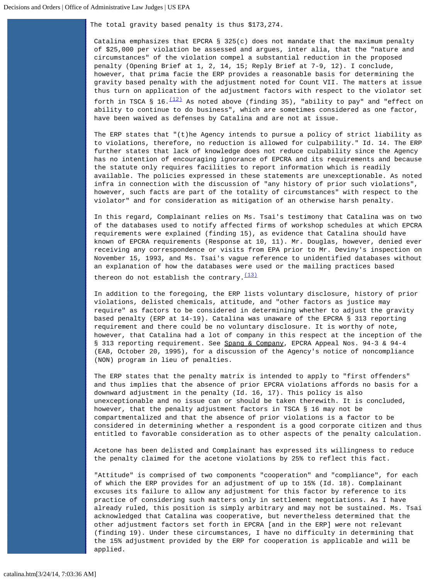The total gravity based penalty is thus \$173,274.

Catalina emphasizes that EPCRA § 325(c) does not mandate that the maximum penalty of \$25,000 per violation be assessed and argues, inter alia, that the "nature and circumstances" of the violation compel a substantial reduction in the proposed penalty (Opening Brief at 1, 2, 14, 15; Reply Brief at 7-9, 12). I conclude, however, that prima facie the ERP provides a reasonable basis for determining the gravity based penalty with the adjustment noted for Count VII. The matters at issue thus turn on application of the adjustment factors with respect to the violator set forth in TSCA § 16. $\frac{(12)}{2}$  $\frac{(12)}{2}$  $\frac{(12)}{2}$  As noted above (finding 35), "ability to pay" and "effect on ability to continue to do business", which are sometimes considered as one factor, have been waived as defenses by Catalina and are not at issue.

The ERP states that " $(t)$ he Agency intends to pursue a policy of strict liability as to violations, therefore, no reduction is allowed for culpability." Id. 14. The ERP further states that lack of knowledge does not reduce culpability since the Agency has no intention of encouraging ignorance of EPCRA and its requirements and because the statute only requires facilities to report information which is readily available. The policies expressed in these statements are unexceptionable. As noted infra in connection with the discussion of "any history of prior such violations", however, such facts are part of the totality of circumstances" with respect to the violator" and for consideration as mitigation of an otherwise harsh penalty.

In this regard, Complainant relies on Ms. Tsai's testimony that Catalina was on two of the databases used to notify affected firms of workshop schedules at which EPCRA requirements were explained (finding 15), as evidence that Catalina should have known of EPCRA requirements (Response at 10, 11). Mr. Douglas, however, denied ever receiving any correspondence or visits from EPA prior to Mr. Deviny's inspection on November 15, 1993, and Ms. Tsai's vague reference to unidentified databases without an explanation of how the databases were used or the mailing practices based thereon do not establish the contrary.  $(13)$ 

In addition to the foregoing, the ERP lists voluntary disclosure, history of prior violations, delisted chemicals, attitude, and "other factors as justice may require" as factors to be considered in determining whether to adjust the gravity based penalty (ERP at 14-19). Catalina was unaware of the EPCRA § 313 reporting requirement and there could be no voluntary disclosure. It is worthy of note, however, that Catalina had a lot of company in this respect at the inception of the § 313 reporting requirement. See Spang & Company, EPCRA Appeal Nos. 94-3 & 94-4 (EAB, October 20, 1995), for a discussion of the Agency's notice of noncompliance (NON) program in lieu of penalties.

The ERP states that the penalty matrix is intended to apply to "first offenders" and thus implies that the absence of prior EPCRA violations affords no basis for a downward adjustment in the penalty (Id. 16, 17). This policy is also unexceptionable and no issue can or should be taken therewith. It is concluded, however, that the penalty adjustment factors in TSCA § 16 may not be compartmentalized and that the absence of prior violations is a factor to be considered in determining whether a respondent is a good corporate citizen and thus entitled to favorable consideration as to other aspects of the penalty calculation.

Acetone has been delisted and Complainant has expressed its willingness to reduce the penalty claimed for the acetone violations by 25% to reflect this fact.

"Attitude" is comprised of two components "cooperation" and "compliance", for each of which the ERP provides for an adjustment of up to 15% (Id. 18). Complainant excuses its failure to allow any adjustment for this factor by reference to its practice of considering such matters only in settlement negotiations. As I have already ruled, this position is simply arbitrary and may not be sustained. Ms. Tsai acknowledged that Catalina was cooperative, but nevertheless determined that the other adjustment factors set forth in EPCRA [and in the ERP] were not relevant (finding 19). Under these circumstances, I have no difficulty in determining that the 15% adjustment provided by the ERP for cooperation is applicable and will be applied.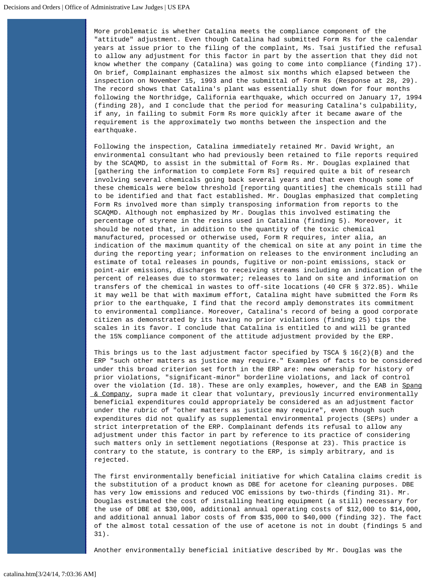More problematic is whether Catalina meets the compliance component of the "attitude" adjustment. Even though Catalina had submitted Form Rs for the calendar years at issue prior to the filing of the complaint, Ms. Tsai justified the refusal to allow any adjustment for this factor in part by the assertion that they did not know whether the company (Catalina) was going to come into compliance (finding 17). On brief, Complainant emphasizes the almost six months which elapsed between the inspection on November 15, 1993 and the submittal of Form Rs (Response at 28, 29). The record shows that Catalina's plant was essentially shut down for four months following the Northridge, California earthquake, which occurred on January 17, 1994 (finding 28), and I conclude that the period for measuring Catalina's culpability, if any, in failing to submit Form Rs more quickly after it became aware of the requirement is the approximately two months between the inspection and the earthquake.

Following the inspection, Catalina immediately retained Mr. David Wright, an environmental consultant who had previously been retained to file reports required by the SCAQMD, to assist in the submittal of Form Rs. Mr. Douglas explained that [gathering the information to complete Form Rs] required quite a bit of research involving several chemicals going back several years and that even though some of these chemicals were below threshold [reporting quantities] the chemicals still had to be identified and that fact established. Mr. Douglas emphasized that completing Form Rs involved more than simply transposing information from reports to the SCAQMD. Although not emphasized by Mr. Douglas this involved estimating the percentage of styrene in the resins used in Catalina (finding 5). Moreover, it should be noted that, in addition to the quantity of the toxic chemical manufactured, processed or otherwise used, Form R requires, inter alia, an indication of the maximum quantity of the chemical on site at any point in time the during the reporting year; information on releases to the environment including an estimate of total releases in pounds, fugitive or non-point emissions, stack or point-air emissions, discharges to receiving streams including an indication of the percent of releases due to stormwater; releases to land on site and information on transfers of the chemical in wastes to off-site locations (40 CFR § 372.85). While it may well be that with maximum effort, Catalina might have submitted the Form Rs prior to the earthquake, I find that the record amply demonstrates its commitment to environmental compliance. Moreover, Catalina's record of being a good corporate citizen as demonstrated by its having no prior violations (finding 25) tips the scales in its favor. I conclude that Catalina is entitled to and will be granted the 15% compliance component of the attitude adjustment provided by the ERP.

This brings us to the last adjustment factor specified by TSCA  $\S$  16(2)(B) and the ERP "such other matters as justice may require." Examples of facts to be considered under this broad criterion set forth in the ERP are: new ownership for history of prior violations, "significant-minor" borderline violations, and lack of control over the violation (Id. 18). These are only examples, however, and the EAB in Spang  $& Company, \text{ supra made it clear that voluntary, previously incurred environmentally}$  beneficial expenditures could appropriately be considered as an adjustment factor under the rubric of "other matters as justice may require", even though such expenditures did not qualify as supplemental environmental projects (SEPs) under a strict interpretation of the ERP. Complainant defends its refusal to allow any adjustment under this factor in part by reference to its practice of considering such matters only in settlement negotiations (Response at 23). This practice is contrary to the statute, is contrary to the ERP, is simply arbitrary, and is rejected.

The first environmentally beneficial initiative for which Catalina claims credit is the substitution of a product known as DBE for acetone for cleaning purposes. DBE has very low emissions and reduced VOC emissions by two-thirds (finding 31). Mr. Douglas estimated the cost of installing heating equipment (a still) necessary for the use of DBE at \$30,000, additional annual operating costs of \$12,000 to \$14,000, and additional annual labor costs of from \$35,000 to \$40,000 (finding 32). The fact of the almost total cessation of the use of acetone is not in doubt (findings 5 and 31).

Another environmentally beneficial initiative described by Mr. Douglas was the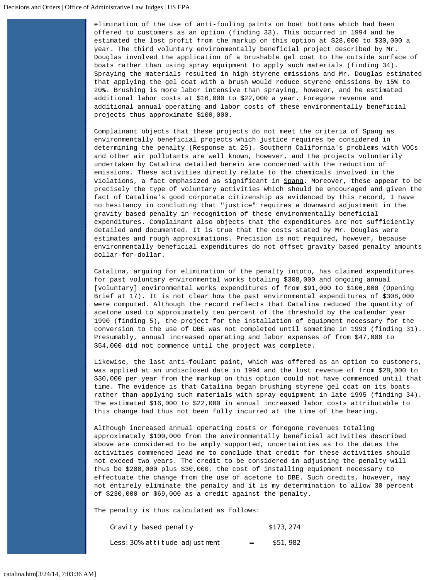elimination of the use of anti-fouling paints on boat bottoms which had been offered to customers as an option (finding 33). This occurred in 1994 and he estimated the lost profit from the markup on this option at \$28,000 to \$30,000 a year. The third voluntary environmentally beneficial project described by Mr. Douglas involved the application of a brushable gel coat to the outside surface of boats rather than using spray equipment to apply such materials (finding 34). Spraying the materials resulted in high styrene emissions and Mr. Douglas estimated that applying the gel coat with a brush would reduce styrene emissions by 15% to 20%. Brushing is more labor intensive than spraying, however, and he estimated additional labor costs at \$16,000 to \$22,000 a year. Foregone revenue and additional annual operating and labor costs of these environmentally beneficial projects thus approximate \$100,000.

Complainant objects that these projects do not meet the criteria of Spang as environmentally beneficial projects which justice requires be considered in determining the penalty (Response at 25). Southern California's problems with VOCs and other air pollutants are well known, however, and the projects voluntarily undertaken by Catalina detailed herein are concerned with the reduction of emissions. These activities directly relate to the chemicals involved in the violations, a fact emphasized as significant in Spang. Moreover, these appear to be precisely the type of voluntary activities which should be encouraged and given the fact of Catalina's good corporate citizenship as evidenced by this record, I have no hesitancy in concluding that "justice" requires a downward adjustment in the gravity based penalty in recognition of these environmentally beneficial expenditures. Complainant also objects that the expenditures are not sufficiently detailed and documented. It is true that the costs stated by Mr. Douglas were estimates and rough approximations. Precision is not required, however, because environmentally beneficial expenditures do not offset gravity based penalty amounts dollar-for-dollar.

Catalina, arguing for elimination of the penalty intoto, has claimed expenditures for past voluntary environmental works totaling \$308,000 and ongoing annual [voluntary] environmental works expenditures of from \$91,000 to \$106,000 (Opening Brief at 17). It is not clear how the past environmental expenditures of \$308,000 were computed. Although the record reflects that Catalina reduced the quantity of acetone used to approximately ten percent of the threshold by the calendar year 1990 (finding 5), the project for the installation of equipment necessary for the conversion to the use of DBE was not completed until sometime in 1993 (finding 31). Presumably, annual increased operating and labor expenses of from \$47,000 to \$54,000 did not commence until the project was complete.

Likewise, the last anti-foulant paint, which was offered as an option to customers, was applied at an undisclosed date in 1994 and the lost revenue of from \$28,000 to \$30,000 per year from the markup on this option could not have commenced until that time. The evidence is that Catalina began brushing styrene gel coat on its boats rather than applying such materials with spray equipment in late 1995 (finding 34). The estimated \$16,000 to \$22,000 in annual increased labor costs attributable to this change had thus not been fully incurred at the time of the hearing.

Although increased annual operating costs or foregone revenues totaling approximately \$100,000 from the environmentally beneficial activities described above are considered to be amply supported, uncertainties as to the dates the activities commenced lead me to conclude that credit for these activities should not exceed two years. The credit to be considered in adjusting the penalty will thus be \$200,000 plus \$30,000, the cost of installing equipment necessary to effectuate the change from the use of acetone to DBE. Such credits, however, may not entirely eliminate the penalty and it is my determination to allow 30 percent of \$230,000 or \$69,000 as a credit against the penalty.

The penalty is thus calculated as follows:

| Gravity based penalty         |     | \$173, 274 |
|-------------------------------|-----|------------|
| Less: 30% attitude adjustment | $=$ | S51, 982   |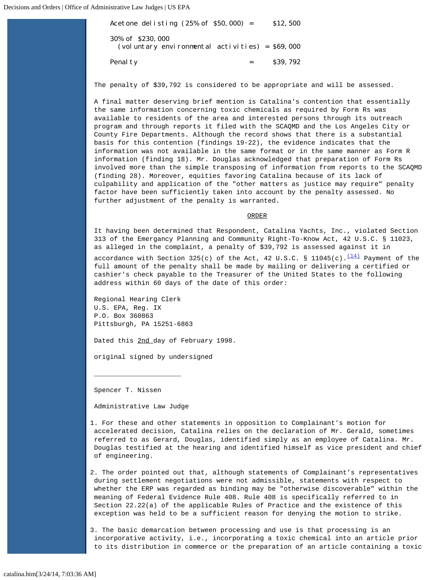| Acetone delisting $(25\% \text{ of } $50,000) =$                     | \$12,500 |
|----------------------------------------------------------------------|----------|
| 30% of \$230,000<br>(voluntary environmental activities) = $$69,000$ |          |
| Penal ty                                                             | \$39,792 |

The penalty of \$39,792 is considered to be appropriate and will be assessed.

A final matter deserving brief mention is Catalina's contention that essentially the same information concerning toxic chemicals as required by Form Rs was available to residents of the area and interested persons through its outreach program and through reports it filed with the SCAQMD and the Los Angeles City or County Fire Departments. Although the record shows that there is a substantial basis for this contention (findings 19-22), the evidence indicates that the information was not available in the same format or in the same manner as Form R information (finding 18). Mr. Douglas acknowledged that preparation of Form Rs involved more than the simple transposing of information from reports to the SCAQMD (finding 28). Moreover, equities favoring Catalina because of its lack of culpability and application of the "other matters as justice may require" penalty factor have been sufficiently taken into account by the penalty assessed. No further adjustment of the penalty is warranted.

ORDER

It having been determined that Respondent, Catalina Yachts, Inc., violated Section 313 of the Emergancy Planning and Community Right-To-Know Act, 42 U.S.C. § 11023, as alleged in the complaint, a penalty of \$39,792 is assessed against it in

accordance with Section 325(c) of the Act, 42 U.S.C. § 11045(c). $\frac{(14)}{14}$  $\frac{(14)}{14}$  $\frac{(14)}{14}$  Payment of the full amount of the penalty shall be made by mailing or delivering a certified or cashier's check payable to the Treasurer of the United States to the following address within 60 days of the date of this order:

Regional Hearing Clerk U.S. EPA, Reg. IX P.O. Box 360863 Pittsburgh, PA 15251-6863

Dated this 2nd day of February 1998.

original signed by undersigned

Spencer T. Nissen

Administrative Law Judge

 $\overline{\phantom{a}}$  , and the contract of the contract of  $\overline{\phantom{a}}$ 

<span id="page-13-0"></span>1. For these and other statements in opposition to Complainant's motion for accelerated decision, Catalina relies on the declaration of Mr. Gerald, sometimes referred to as Gerard, Douglas, identified simply as an employee of Catalina. Mr. Douglas testified at the hearing and identified himself as vice president and chief of engineering.

<span id="page-13-1"></span>2. The order pointed out that, although statements of Complainant's representatives during settlement negotiations were not admissible, statements with respect to whether the ERP was regarded as binding may be "otherwise discoverable" within the meaning of Federal Evidence Rule 408. Rule 408 is specifically referred to in Section 22.22(a) of the applicable Rules of Practice and the existence of this exception was held to be a sufficient reason for denying the motion to strike.

<span id="page-13-2"></span>3. The basic demarcation between processing and use is that processing is an incorporative activity, i.e., incorporating a toxic chemical into an article prior to its distribution in commerce or the preparation of an article containing a toxic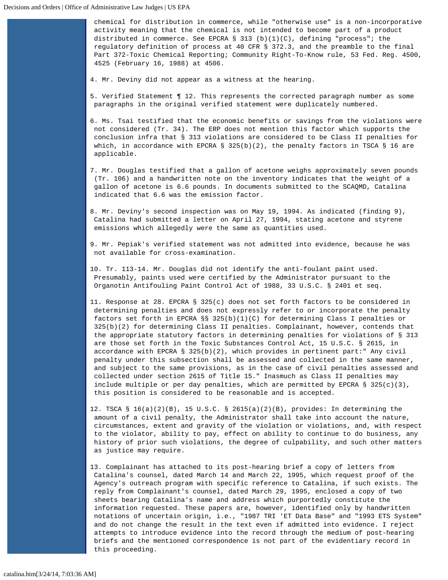chemical for distribution in commerce, while "otherwise use" is a non-incorporative activity meaning that the chemical is not intended to become part of a product distributed in commerce. See EPCRA § 313 (b)(1)(C), defining "process"; the regulatory definition of process at 40 CFR § 372.3, and the preamble to the final Part 372-Toxic Chemical Reporting; Community Right-To-Know rule, 53 Fed. Reg. 4500, 4525 (February 16, 1988) at 4506.

<span id="page-14-0"></span>4. Mr. Deviny did not appear as a witness at the hearing.

<span id="page-14-1"></span>5. Verified Statement ¶ 12. This represents the corrected paragraph number as some paragraphs in the original verified statement were duplicately numbered.

<span id="page-14-2"></span>6. Ms. Tsai testified that the economic benefits or savings from the violations were not considered (Tr. 34). The ERP does not mention this factor which supports the conclusion infra that § 313 violations are considered to be Class II penalties for which, in accordance with EPCRA § 325(b)(2), the penalty factors in TSCA § 16 are applicable.

<span id="page-14-3"></span>7. Mr. Douglas testified that a gallon of acetone weighs approximately seven pounds (Tr. 106) and a handwritten note on the inventory indicates that the weight of a gallon of acetone is 6.6 pounds. In documents submitted to the SCAQMD, Catalina indicated that 6.6 was the emission factor.

<span id="page-14-4"></span>8. Mr. Deviny's second inspection was on May 19, 1994. As indicated (finding 9), Catalina had submitted a letter on April 27, 1994, stating acetone and styrene emissions which allegedly were the same as quantities used.

<span id="page-14-5"></span>9. Mr. Pepiak's verified statement was not admitted into evidence, because he was not available for cross-examination.

<span id="page-14-6"></span>10. Tr. 113-14. Mr. Douglas did not identify the anti-foulant paint used. Presumably, paints used were certified by the Administrator pursuant to the Organotin Antifouling Paint Control Act of 1988, 33 U.S.C. § 2401 et seq.

- <span id="page-14-7"></span>11. Response at 28. EPCRA § 325(c) does not set forth factors to be considered in determining penalties and does not expressly refer to or incorporate the penalty factors set forth in EPCRA §§ 325(b)(1)(C) for determining Class I penalties or 325(b)(2) for determining Class II penalties. Complainant, however, contends that the appropriate statutory factors in determining penalties for violations of § 313 are those set forth in the Toxic Substances Control Act, 15 U.S.C. § 2615, in accordance with EPCRA  $\S$  325(b)(2), which provides in pertinent part:" Any civil penalty under this subsection shall be assessed and collected in the same manner, and subject to the same provisions, as in the case of civil penalties assessed and collected under section 2615 of Title 15." Inasmuch as Class II penalties may include multiple or per day penalties, which are permitted by EPCRA § 325(c)(3), this position is considered to be reasonable and is accepted.
- <span id="page-14-8"></span>12. TSCA § 16(a)(2)(B), 15 U.S.C. § 2615(a)(2)(B), provides: In determining the amount of a civil penalty, the Administrator shall take into account the nature, circumstances, extent and gravity of the violation or violations, and, with respect to the violator, ability to pay, effect on ability to continue to do business, any history of prior such violations, the degree of culpability, and such other matters as justice may require.
- <span id="page-14-9"></span>13. Complainant has attached to its post-hearing brief a copy of letters from Catalina's counsel, dated March 14 and March 22, 1995, which request proof of the Agency's outreach program with specific reference to Catalina, if such exists. The reply from Complainant's counsel, dated March 29, 1995, enclosed a copy of two sheets bearing Catalina's name and address which purportedly constitute the information requested. These papers are, however, identified only by handwritten notations of uncertain origin, i.e., "1987 TRI 'ET Data Base" and "1993 ETS System" and do not change the result in the text even if admitted into evidence. I reject attempts to introduce evidence into the record through the medium of post-hearing briefs and the mentioned correspondence is not part of the evidentiary record in this proceeding.